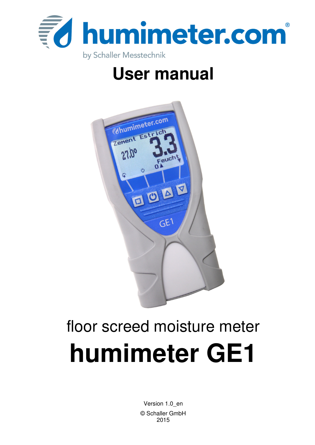

## **User manual**



# floor screed moisture meter **humimeter GE1**

Version 1.0\_en © Schaller GmbH 2015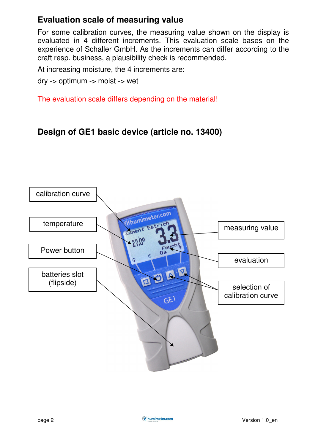## **Evaluation scale of measuring value**

For some calibration curves, the measuring value shown on the display is evaluated in 4 different increments. This evaluation scale bases on the experience of Schaller GmbH. As the increments can differ according to the craft resp. business, a plausibility check is recommended.

At increasing moisture, the 4 increments are:

dry -> optimum -> moist -> wet

The evaluation scale differs depending on the material!

#### **Design of GE1 basic device (article no. 13400)**

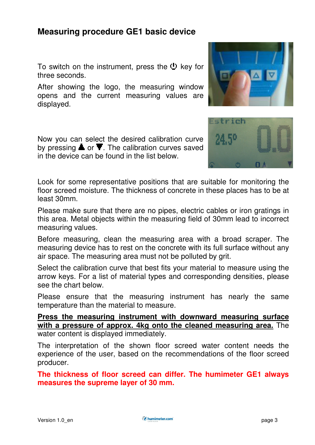#### **Measuring procedure GE1 basic device**

To switch on the instrument, press the  $\mathbf{\Psi}$  key for three seconds.

After showing the logo, the measuring window opens and the current measuring values are displayed.

Now you can select the desired calibration curve by pressing  $\blacksquare$  or  $\blacksquare$ . The calibration curves saved in the device can be found in the list below.

Look for some representative positions that are suitable for monitoring the floor screed moisture. The thickness of concrete in these places has to be at least 30mm.

Please make sure that there are no pipes, electric cables or iron gratings in this area. Metal objects within the measuring field of 30mm lead to incorrect measuring values.

Before measuring, clean the measuring area with a broad scraper. The measuring device has to rest on the concrete with its full surface without any air space. The measuring area must not be polluted by grit.

Select the calibration curve that best fits your material to measure using the arrow keys. For a list of material types and corresponding densities, please see the chart below.

Please ensure that the measuring instrument has nearly the same temperature than the material to measure.

**Press the measuring instrument with downward measuring surface with a pressure of approx. 4kg onto the cleaned measuring area.** The water content is displayed immediately.

The interpretation of the shown floor screed water content needs the experience of the user, based on the recommendations of the floor screed producer.

**The thickness of floor screed can differ. The humimeter GE1 always measures the supreme layer of 30 mm.** 



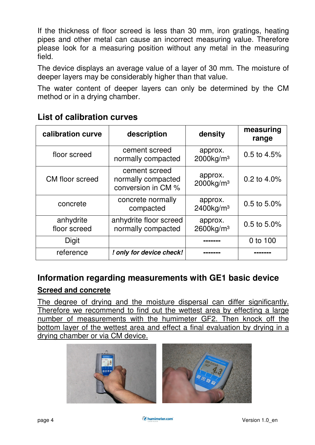If the thickness of floor screed is less than 30 mm, iron gratings, heating pipes and other metal can cause an incorrect measuring value. Therefore please look for a measuring position without any metal in the measuring field.

The device displays an average value of a layer of 30 mm. The moisture of deeper layers may be considerably higher than that value.

The water content of deeper layers can only be determined by the CM method or in a drying chamber.

| calibration curve         | description                                               | density                             | measuring<br>range |
|---------------------------|-----------------------------------------------------------|-------------------------------------|--------------------|
| floor screed              | cement screed<br>normally compacted                       | approx.<br>$2000$ kg/m <sup>3</sup> | 0.5 to 4.5%        |
| CM floor screed           | cement screed<br>normally compacted<br>conversion in CM % | approx.<br>$2000$ kg/m <sup>3</sup> | 0.2 to $4.0\%$     |
| concrete                  | concrete normally<br>compacted                            | approx.<br>$2400$ kg/m <sup>3</sup> | 0.5 to 5.0%        |
| anhydrite<br>floor screed | anhydrite floor screed<br>normally compacted              | approx.<br>$2600$ kg/m <sup>3</sup> | $0.5$ to 5.0%      |
| Digit                     |                                                           |                                     | 0 to 100           |
| reference                 | ! only for device check!                                  |                                     |                    |

#### **List of calibration curves**

#### **Information regarding measurements with GE1 basic device**

#### **Screed and concrete**

The degree of drying and the moisture dispersal can differ significantly. Therefore we recommend to find out the wettest area by effecting a large number of measurements with the humimeter GF2. Then knock off the bottom layer of the wettest area and effect a final evaluation by drying in a drying chamber or via CM device.

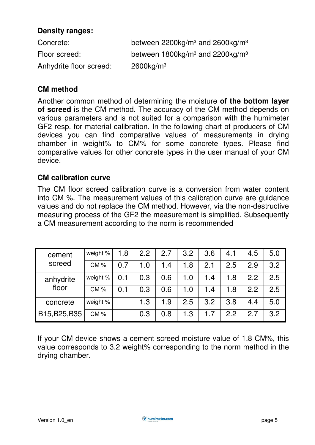#### **Density ranges:**

| Concrete:               | between $2200$ kg/m <sup>3</sup> and $2600$ kg/m <sup>3</sup> |
|-------------------------|---------------------------------------------------------------|
| Floor screed:           | between $1800\text{kg/m}^3$ and $2200\text{kg/m}^3$           |
| Anhydrite floor screed: | $2600$ kg/m <sup>3</sup>                                      |

#### **CM method**

Another common method of determining the moisture **of the bottom layer of screed** is the CM method. The accuracy of the CM method depends on various parameters and is not suited for a comparison with the humimeter GF2 resp. for material calibration. In the following chart of producers of CM devices you can find comparative values of measurements in drying chamber in weight% to CM% for some concrete types. Please find comparative values for other concrete types in the user manual of your CM device.

#### **CM calibration curve**

The CM floor screed calibration curve is a conversion from water content into CM %. The measurement values of this calibration curve are guidance values and do not replace the CM method. However, via the non-destructive measuring process of the GF2 the measurement is simplified. Subsequently a CM measurement according to the norm is recommended

| cement        | weight % | 1.8 | 2.2 | 2.7 | 3.2 | 3.6 | 4.1 | 4.5 | 5.0 |
|---------------|----------|-----|-----|-----|-----|-----|-----|-----|-----|
| screed        | CM%      | 0.7 | 1.0 | 1.4 | 1.8 | 2.1 | 2.5 | 2.9 | 3.2 |
| anhydrite     | weight % | 0.1 | 0.3 | 0.6 | 1.0 | 1.4 | 1.8 | 2.2 | 2.5 |
| floor         | $CM$ %   | 0.1 | 0.3 | 0.6 | 1.0 | 1.4 | 1.8 | 2.2 | 2.5 |
| concrete      | weight % |     | 1.3 | 1.9 | 2.5 | 3.2 | 3.8 | 4.4 | 5.0 |
| B15, B25, B35 | CM%      |     | 0.3 | 0.8 | 1.3 | 1.7 | 2.2 | 2.7 | 3.2 |

If your CM device shows a cement screed moisture value of 1.8 CM%, this value corresponds to 3.2 weight% corresponding to the norm method in the drying chamber.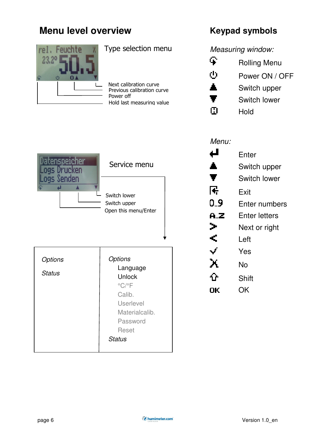## **Menu level overview**



Type selection menu

Power off Previous calibration curve Next calibration curve Hold last measuring value

## **Keypad symbols**

Measuring window:

| Ψ.    | <b>Rolling Menu</b> |
|-------|---------------------|
| ტ     | Power ON / OFF      |
| Δ.    | Switch upper        |
| Ŧ     | Switch lower        |
| 1 : I | Hold                |

| speicher<br>ogs Drucken  | Service menu                                                                                                                            |  |
|--------------------------|-----------------------------------------------------------------------------------------------------------------------------------------|--|
| Senden                   | Switch lower<br>Switch upper<br>Open this menu/Enter                                                                                    |  |
| Options<br><b>Status</b> | Options<br>Language<br>Unlock<br>$^{\circ}$ C/ $^{\circ}$ F<br>Calib.<br><b>Userlevel</b><br>Materialcalib.<br>Password<br><b>Reset</b> |  |
|                          | <b>Status</b>                                                                                                                           |  |

## Menu:

| ↵    | Enter         |  |
|------|---------------|--|
| ▲    | Switch upper  |  |
| Ŧ    | Switch lower  |  |
| 로    | Exit          |  |
| 0.9  | Enter numbers |  |
| A.Z  | Enter letters |  |
| ≯    | Next or right |  |
| €    | Left          |  |
| ✓    | Yes           |  |
| ፝፝፝፝ | No            |  |
| ⇧    | <b>Shift</b>  |  |
| UК   | ΟK            |  |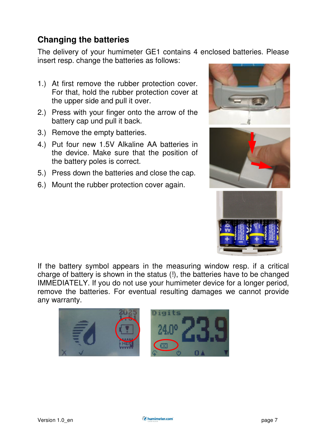## **Changing the batteries**

The delivery of your humimeter GE1 contains 4 enclosed batteries. Please insert resp. change the batteries as follows:

- 1.) At first remove the rubber protection cover. For that, hold the rubber protection cover at the upper side and pull it over.
- 2.) Press with your finger onto the arrow of the battery cap und pull it back.
- 3.) Remove the empty batteries.
- 4.) Put four new 1.5V Alkaline AA batteries in the device. Make sure that the position of the battery poles is correct.
- 5.) Press down the batteries and close the cap.
- 6.) Mount the rubber protection cover again.







If the battery symbol appears in the measuring window resp. if a critical charge of battery is shown in the status (!), the batteries have to be changed IMMEDIATELY. If you do not use your humimeter device for a longer period, remove the batteries. For eventual resulting damages we cannot provide any warranty.

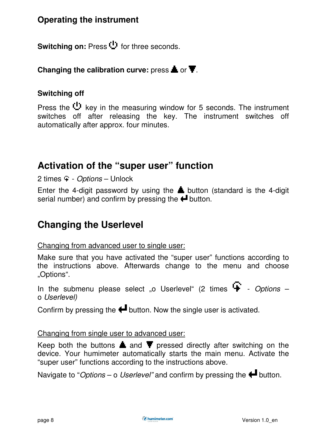## **Operating the instrument**

Switching on: Press<sup>(1)</sup> for three seconds.

#### **Changing the calibration curve:** press  $\triangle$  or  $\overline{\mathbf{T}}$ .

#### **Switching off**

Press the  $\mathbf{U}$  key in the measuring window for 5 seconds. The instrument switches off after releasing the key. The instrument switches off automatically after approx. four minutes.

## **Activation of the "super user" function**

 $2 \text{ times } -$  *Options* – Unlock

Enter the 4-digit password by using the  $\triangle$  button (standard is the 4-digit serial number) and confirm by pressing the  $\blacktriangle$  button.

## **Changing the Userlevel**

#### Changing from advanced user to single user:

Make sure that you have activated the "super user" functions according to the instructions above. Afterwards change to the menu and choose "Options".

In the submenu please select "o Userlevel" (2 times  $\mathbf{F}$  - Options – o Userlevel)

Confirm by pressing the  $\biguparrow$  button. Now the single user is activated.

#### Changing from single user to advanced user:

Keep both the buttons  $\triangle$  and  $\blacktriangledown$  pressed directly after switching on the device. Your humimeter automatically starts the main menu. Activate the "super user" functions according to the instructions above.

Navigate to "Options – o Userlevel" and confirm by pressing the  $\blacksquare$  button.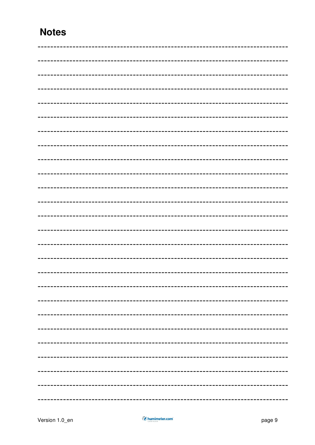## **Notes**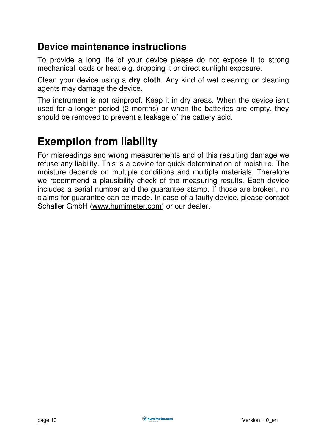## **Device maintenance instructions**

To provide a long life of your device please do not expose it to strong mechanical loads or heat e.g. dropping it or direct sunlight exposure.

Clean your device using a **dry cloth**. Any kind of wet cleaning or cleaning agents may damage the device.

The instrument is not rainproof. Keep it in dry areas. When the device isn't used for a longer period (2 months) or when the batteries are empty, they should be removed to prevent a leakage of the battery acid.

## **Exemption from liability**

For misreadings and wrong measurements and of this resulting damage we refuse any liability. This is a device for quick determination of moisture. The moisture depends on multiple conditions and multiple materials. Therefore we recommend a plausibility check of the measuring results. Each device includes a serial number and the guarantee stamp. If those are broken, no claims for guarantee can be made. In case of a faulty device, please contact Schaller GmbH (www.humimeter.com) or our dealer.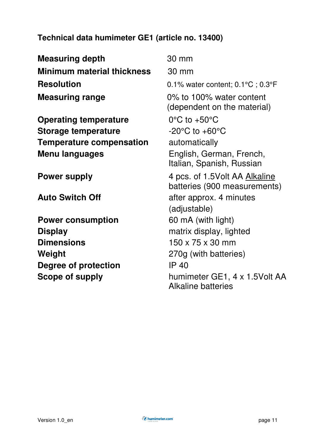## **Technical data humimeter GE1 (article no. 13400)**

**Measuring depth** 30 mm **Minimum material thickness** 30 mm **Resolution** 0.1% water content; 0.1°C ; 0.3°F **Measuring range 100%** to 100% water content (dependent on the material) **Operating temperature**  $0^{\circ}$ C to +50<sup>o</sup>C **Storage temperature**  $-20^{\circ}$ C to  $+60^{\circ}$ C **Temperature compensation** automatically **Menu languages** English, German, French, Italian, Spanish, Russian **Power supply 4 pcs. of 1.5Volt AA Alkaline**  batteries (900 measurements) **Auto Switch Off** after approx. 4 minutes (adjustable) **Power consumption** 60 mA (with light) **Display Display Dimensions 150 x 75 x 30 mm Weight** 270g (with batteries) **Degree of protection IP 40 Scope of supply** humimeter GE1, 4 x 1.5Volt AA Alkaline batteries